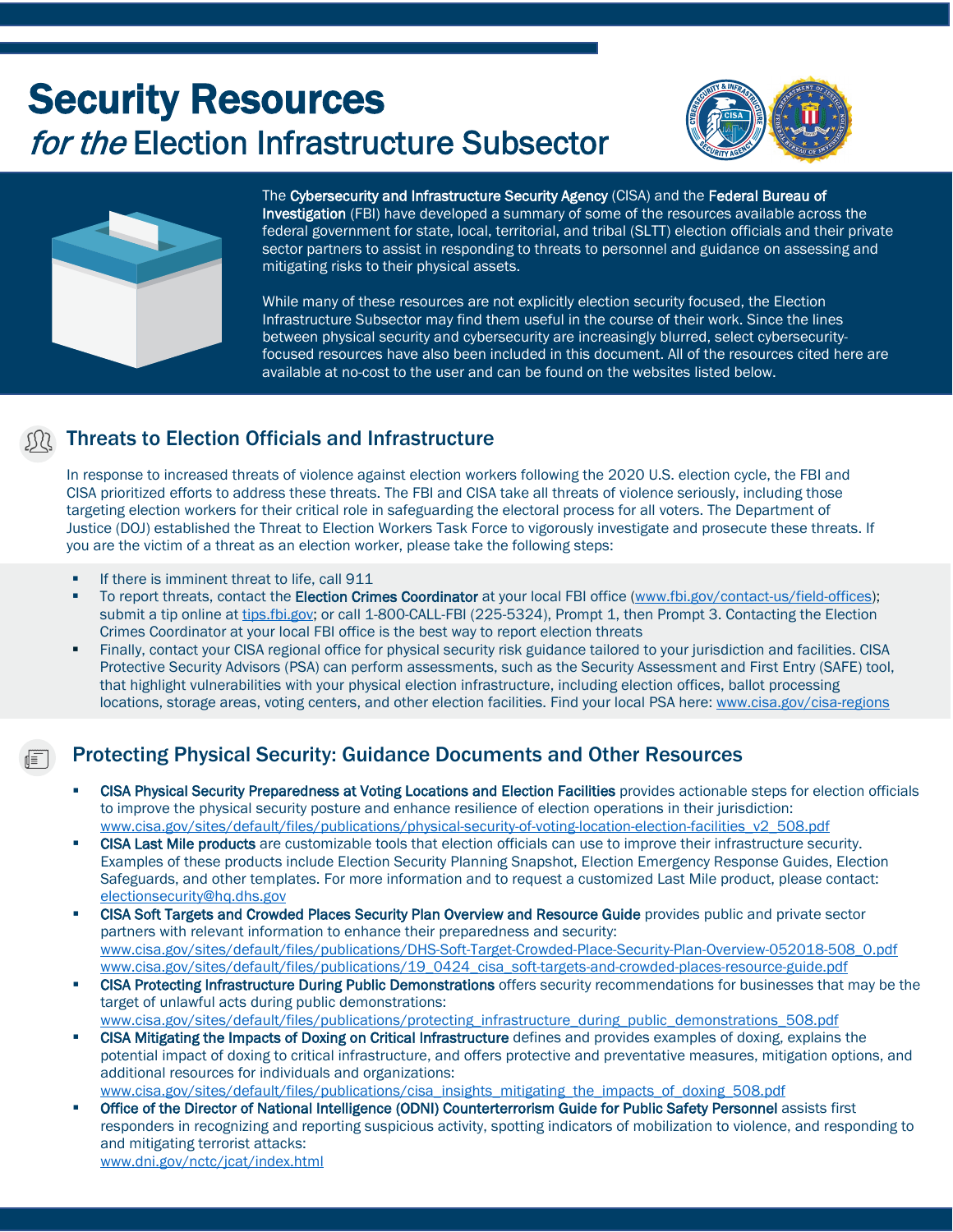# Security Resources **for the Election Infrastructure Subsector**





The Cybersecurity and Infrastructure Security Agency (CISA) and the Federal Bureau of Investigation (FBI) have developed a summary of some of the resources available across the federal government for state, local, territorial, and tribal (SLTT) election officials and their private sector partners to assist in responding to threats to personnel and guidance on assessing and mitigating risks to their physical assets.

While many of these resources are not explicitly election security focused, the Election Infrastructure Subsector may find them useful in the course of their work. Since the lines between physical security and cybersecurity are increasingly blurred, select cybersecurityfocused resources have also been included in this document. All of the resources cited here are available at no-cost to the user and can be found on the websites listed below.

## Threats to Election Officials and Infrastructure

In response to increased threats of violence against election workers following the 2020 U.S. election cycle, the FBI and CISA prioritized efforts to address these threats. The FBI and CISA take all threats of violence seriously, including those targeting election workers for their critical role in safeguarding the electoral process for all voters. The Department of Justice (DOJ) established the Threat to Election Workers Task Force to vigorously investigate and prosecute these threats. If you are the victim of a threat as an election worker, please take the following steps:

- If there is imminent threat to life, call 911
- To report threats, contact the Election Crimes Coordinator at your local FBI office [\(www.fbi.gov/contact-us/field-offices\)](http://www.fbi.gov/contact-us/field-offices); submit a tip online at [tips.fbi.gov;](https://tips.fbi.gov/) or call 1-800-CALL-FBI (225-5324), Prompt 1, then Prompt 3. Contacting the Election Crimes Coordinator at your local FBI office is the best way to report election threats
- Finally, contact your CISA regional office for physical security risk guidance tailored to your jurisdiction and facilities. CISA Protective Security Advisors (PSA) can perform assessments, such as the Security Assessment and First Entry (SAFE) tool, that highlight vulnerabilities with your physical election infrastructure, including election offices, ballot processing locations, storage areas, voting centers, and other election facilities. Find your local PSA here: [www.cisa.gov/cisa-regions](http://www.cisa.gov/cisa-regions)

## Protecting Physical Security: Guidance Documents and Other Resources

- CISA Physical Security Preparedness at Voting Locations and Election Facilities provides actionable steps for election officials to improve the physical security posture and enhance resilience of election operations in their jurisdiction: [www.cisa.gov/sites/default/files/publications/physical-security-of-voting-location-election-facilities\\_v2\\_508.pdf](http://www.cisa.gov/sites/default/files/publications/physical-security-of-voting-location-election-facilities_v2_508.pdf)
- CISA Last Mile products are customizable tools that election officials can use to improve their infrastructure security. Examples of these products include Election Security Planning Snapshot, Election Emergency Response Guides, Election Safeguards, and other templates. For more information and to request a customized Last Mile product, please contact: [electionsecurity@hq.dhs.gov](mailto:electionsecurity@hq.dhs.gov)
- **EXTER Soft Targets and Crowded Places Security Plan Overview and Resource Guide provides public and private sector** partners with relevant information to enhance their preparedness and security: [www.cisa.gov/sites/default/files/publications/DHS-Soft-Target-Crowded-Place-Security-Plan-Overview-052018-508\\_0.pdf](http://www.cisa.gov/sites/default/files/publications/DHS-Soft-Target-Crowded-Place-Security-Plan-Overview-052018-508_0.pdf) [www.cisa.gov/sites/default/files/publications/19\\_0424\\_cisa\\_soft-targets-and-crowded-places-resource-guide.pdf](http://www.cisa.gov/sites/default/files/publications/19_0424_cisa_soft-targets-and-crowded-places-resource-guide.pdf)
- **CISA Protecting Infrastructure During Public Demonstrations** offers security recommendations for businesses that may be the target of unlawful acts during public demonstrations: [www.cisa.gov/sites/default/files/publications/protecting\\_infrastructure\\_during\\_public\\_demonstrations\\_508.pdf](https://www.cisa.gov/sites/default/files/publications/protecting_infrastructure_during_public_demonstrations_508.pdf)
- **CISA Mitigating the Impacts of Doxing on Critical Infrastructure** defines and provides examples of doxing, explains the potential impact of doxing to critical infrastructure, and offers protective and preventative measures, mitigation options, and additional resources for individuals and organizations: [www.cisa.gov/sites/default/files/publications/cisa\\_insights\\_mitigating\\_the\\_impacts\\_of\\_doxing\\_508.pdf](http://www.cisa.gov/sites/default/files/publications/cisa_insights_mitigating_the_impacts_of_doxing_508.pdf)
- Office of the Director of National Intelligence (ODNI) Counterterrorism Guide for Public Safety Personnel assists first responders in recognizing and reporting suspicious activity, spotting indicators of mobilization to violence, and responding to and mitigating terrorist attacks: [www.dni.gov/nctc/jcat/index.html](http://www.dni.gov/nctc/jcat/index.html)